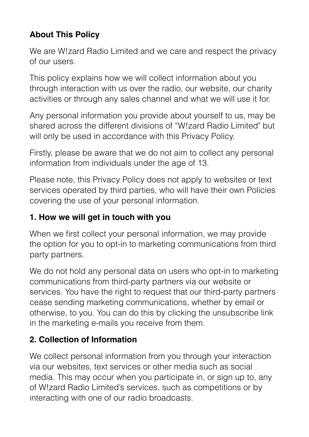# **About This Policy**

We are W!zard Radio Limited and we care and respect the privacy of our users.

This policy explains how we will collect information about you through interaction with us over the radio, our website, our charity activities or through any sales channel and what we will use it for.

Any personal information you provide about yourself to us, may be shared across the different divisions of "W!zard Radio Limited" but will only be used in accordance with this Privacy Policy.

Firstly, please be aware that we do not aim to collect any personal information from individuals under the age of 13.

Please note, this Privacy Policy does not apply to websites or text services operated by third parties, who will have their own Policies covering the use of your personal information.

#### **1. How we will get in touch with you**

When we first collect your personal information, we may provide the option for you to opt-in to marketing communications from third party partners.

We do not hold any personal data on users who opt-in to marketing communications from third-party partners via our website or services. You have the right to request that our third-party partners cease sending marketing communications, whether by email or otherwise, to you. You can do this by clicking the unsubscribe link in the marketing e-mails you receive from them.

## **2. Collection of Information**

We collect personal information from you through your interaction via our websites, text services or other media such as social media. This may occur when you participate in, or sign up to, any of W!zard Radio Limited's services, such as competitions or by interacting with one of our radio broadcasts.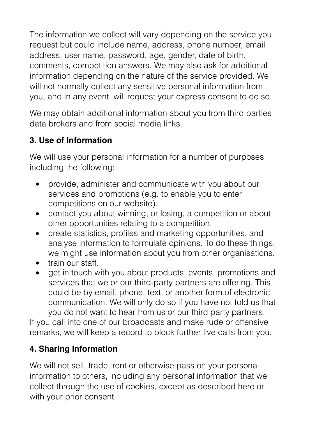The information we collect will vary depending on the service you request but could include name, address, phone number, email address, user name, password, age, gender, date of birth, comments, competition answers. We may also ask for additional information depending on the nature of the service provided. We will not normally collect any sensitive personal information from you, and in any event, will request your express consent to do so.

We may obtain additional information about you from third parties data brokers and from social media links.

# **3. Use of Information**

We will use your personal information for a number of purposes including the following:

- provide, administer and communicate with you about our services and promotions (e.g. to enable you to enter competitions on our website).
- contact you about winning, or losing, a competition or about other opportunities relating to a competition.
- create statistics, profiles and marketing opportunities, and analyse information to formulate opinions. To do these things, we might use information about you from other organisations.
- train our staff.
- get in touch with you about products, events, promotions and services that we or our third-party partners are offering. This could be by email, phone, text, or another form of electronic communication. We will only do so if you have not told us that you do not want to hear from us or our third party partners.

If you call into one of our broadcasts and make rude or offensive remarks, we will keep a record to block further live calls from you.

# **4. Sharing Information**

We will not sell, trade, rent or otherwise pass on your personal information to others, including any personal information that we collect through the use of cookies, except as described here or with your prior consent.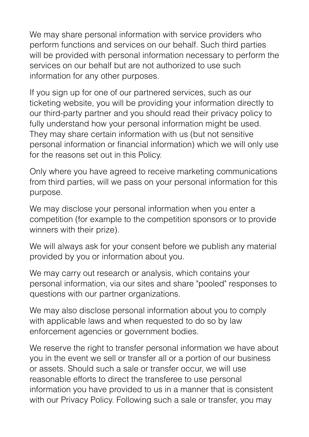We may share personal information with service providers who perform functions and services on our behalf. Such third parties will be provided with personal information necessary to perform the services on our behalf but are not authorized to use such information for any other purposes.

If you sign up for one of our partnered services, such as our ticketing website, you will be providing your information directly to our third-party partner and you should read their privacy policy to fully understand how your personal information might be used. They may share certain information with us (but not sensitive personal information or financial information) which we will only use for the reasons set out in this Policy.

Only where you have agreed to receive marketing communications from third parties, will we pass on your personal information for this purpose.

We may disclose your personal information when you enter a competition (for example to the competition sponsors or to provide winners with their prize).

We will always ask for your consent before we publish any material provided by you or information about you.

We may carry out research or analysis, which contains your personal information, via our sites and share "pooled" responses to questions with our partner organizations.

We may also disclose personal information about you to comply with applicable laws and when requested to do so by law enforcement agencies or government bodies.

We reserve the right to transfer personal information we have about you in the event we sell or transfer all or a portion of our business or assets. Should such a sale or transfer occur, we will use reasonable efforts to direct the transferee to use personal information you have provided to us in a manner that is consistent with our Privacy Policy. Following such a sale or transfer, you may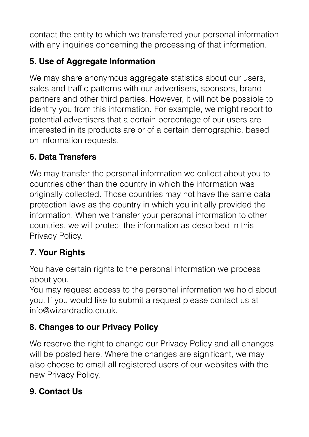contact the entity to which we transferred your personal information with any inquiries concerning the processing of that information.

# **5. Use of Aggregate Information**

We may share anonymous aggregate statistics about our users, sales and traffic patterns with our advertisers, sponsors, brand partners and other third parties. However, it will not be possible to identify you from this information. For example, we might report to potential advertisers that a certain percentage of our users are interested in its products are or of a certain demographic, based on information requests.

### **6. Data Transfers**

We may transfer the personal information we collect about you to countries other than the country in which the information was originally collected. Those countries may not have the same data protection laws as the country in which you initially provided the information. When we transfer your personal information to other countries, we will protect the information as described in this Privacy Policy.

# **7. Your Rights**

You have certain rights to the personal information we process about you.

You may request access to the personal information we hold about you. If you would like to submit a request please contact us at info@wizardradio.co.uk.

## **8. Changes to our Privacy Policy**

We reserve the right to change our Privacy Policy and all changes will be posted here. Where the changes are significant, we may also choose to email all registered users of our websites with the new Privacy Policy.

## **9. Contact Us**